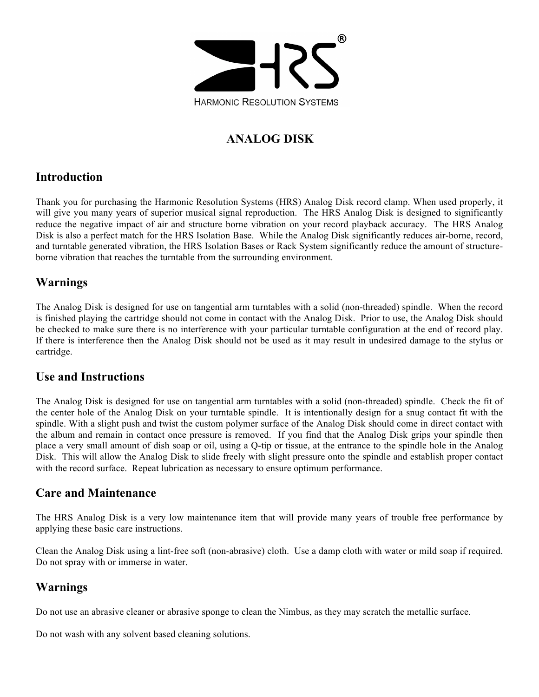

## **ANALOG DISK**

### **Introduction**

Thank you for purchasing the Harmonic Resolution Systems (HRS) Analog Disk record clamp. When used properly, it will give you many years of superior musical signal reproduction. The HRS Analog Disk is designed to significantly reduce the negative impact of air and structure borne vibration on your record playback accuracy. The HRS Analog Disk is also a perfect match for the HRS Isolation Base. While the Analog Disk significantly reduces air-borne, record, and turntable generated vibration, the HRS Isolation Bases or Rack System significantly reduce the amount of structureborne vibration that reaches the turntable from the surrounding environment.

## **Warnings**

The Analog Disk is designed for use on tangential arm turntables with a solid (non-threaded) spindle. When the record is finished playing the cartridge should not come in contact with the Analog Disk. Prior to use, the Analog Disk should be checked to make sure there is no interference with your particular turntable configuration at the end of record play. If there is interference then the Analog Disk should not be used as it may result in undesired damage to the stylus or cartridge.

### **Use and Instructions**

The Analog Disk is designed for use on tangential arm turntables with a solid (non-threaded) spindle. Check the fit of the center hole of the Analog Disk on your turntable spindle. It is intentionally design for a snug contact fit with the spindle. With a slight push and twist the custom polymer surface of the Analog Disk should come in direct contact with the album and remain in contact once pressure is removed. If you find that the Analog Disk grips your spindle then place a very small amount of dish soap or oil, using a Q-tip or tissue, at the entrance to the spindle hole in the Analog Disk. This will allow the Analog Disk to slide freely with slight pressure onto the spindle and establish proper contact with the record surface. Repeat lubrication as necessary to ensure optimum performance.

### **Care and Maintenance**

The HRS Analog Disk is a very low maintenance item that will provide many years of trouble free performance by applying these basic care instructions.

Clean the Analog Disk using a lint-free soft (non-abrasive) cloth. Use a damp cloth with water or mild soap if required. Do not spray with or immerse in water.

## **Warnings**

Do not use an abrasive cleaner or abrasive sponge to clean the Nimbus, as they may scratch the metallic surface.

Do not wash with any solvent based cleaning solutions.